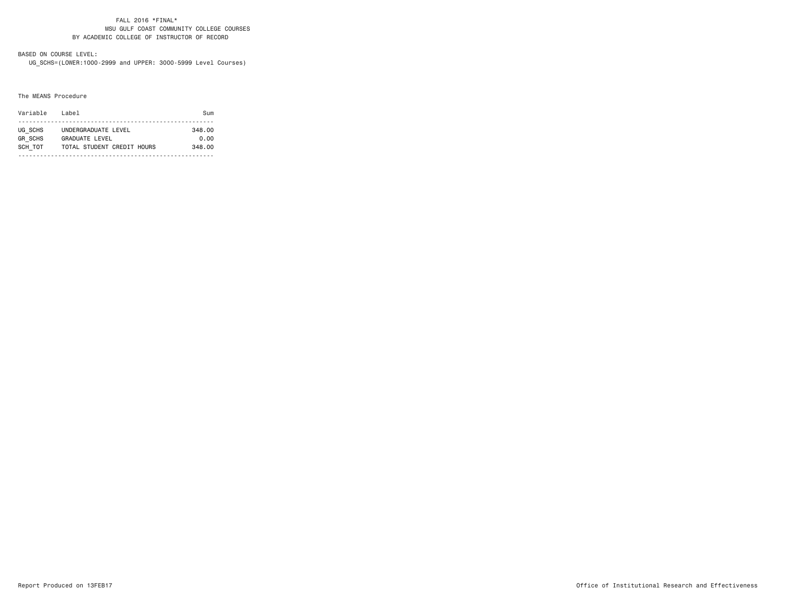#### FALL 2016 \*FINAL\* MSU GULF COAST COMMUNITY COLLEGE COURSESBY ACADEMIC COLLEGE OF INSTRUCTOR OF RECORD

# BASED ON COURSE LEVEL:

UG\_SCHS=(LOWER:1000-2999 and UPPER: 3000-5999 Level Courses)

#### The MEANS Procedure

| Variable       | l ahel                     | $S1$ m |  |  |  |  |  |
|----------------|----------------------------|--------|--|--|--|--|--|
|                |                            |        |  |  |  |  |  |
| UG SCHS        | UNDERGRADUATE LEVEL        | 348.00 |  |  |  |  |  |
| <b>GR SCHS</b> | <b>GRADUATE LEVEL</b>      | 0.00   |  |  |  |  |  |
| SCH TOT        | TOTAL STUDENT CREDIT HOURS | 348.00 |  |  |  |  |  |
|                |                            |        |  |  |  |  |  |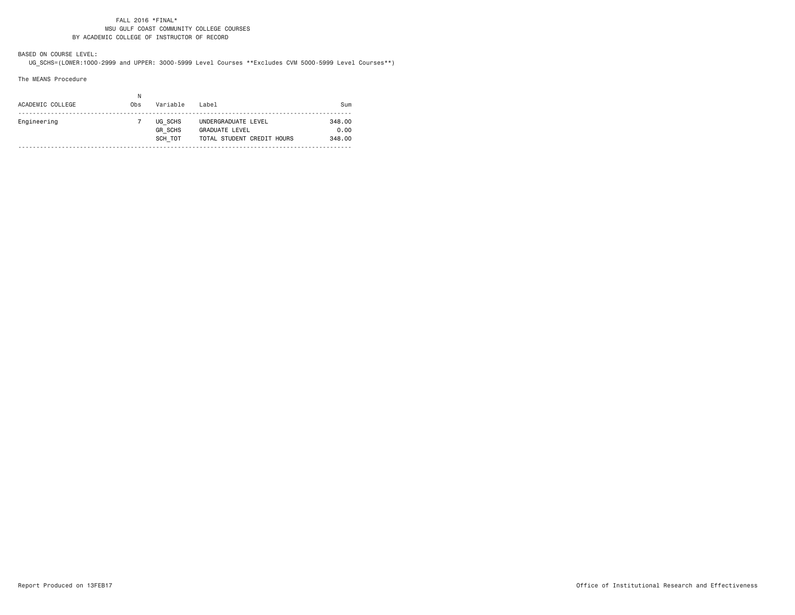### FALL 2016 \*FINAL\* MSU GULF COAST COMMUNITY COLLEGE COURSESBY ACADEMIC COLLEGE OF INSTRUCTOR OF RECORD

BASED ON COURSE LEVEL:

UG\_SCHS=(LOWER:1000-2999 and UPPER: 3000-5999 Level Courses \*\*Excludes CVM 5000-5999 Level Courses\*\*)

The MEANS Procedure

| ACADEMIC COLLEGE | N<br>Obs | Variable                             | Label                                                                      | Sum                      |
|------------------|----------|--------------------------------------|----------------------------------------------------------------------------|--------------------------|
| Engineering      |          | UG SCHS<br><b>GR SCHS</b><br>SCH TOT | UNDERGRADUATE LEVEL<br><b>GRADUATE LEVEL</b><br>TOTAL STUDENT CREDIT HOURS | 348.00<br>0.00<br>348.00 |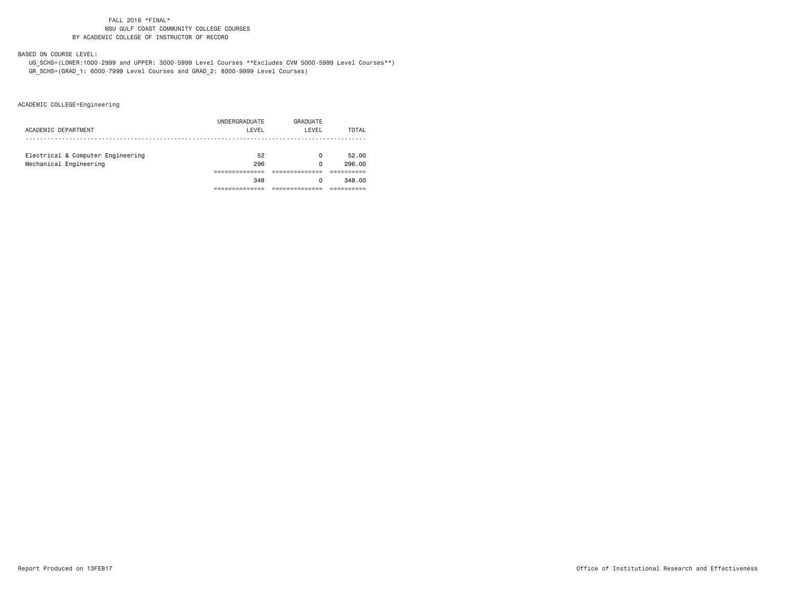### FALL 2016 \*FINAL\* MSU GULF COAST COMMUNITY COLLEGE COURSESBY ACADEMIC COLLEGE OF INSTRUCTOR OF RECORD

BASED ON COURSE LEVEL:

 UG\_SCHS=(LOWER:1000-2999 and UPPER: 3000-5999 Level Courses \*\*Excludes CVM 5000-5999 Level Courses\*\*) GR\_SCHS=(GRAD\_1: 6000-7999 Level Courses and GRAD\_2: 8000-9999 Level Courses)

ACADEMIC COLLEGE=Engineering

|                                   | 348           | 0        | 348.00 |
|-----------------------------------|---------------|----------|--------|
|                                   |               |          |        |
| Mechanical Engineering            | 296           | 0        | 296.00 |
| Electrical & Computer Engineering | 52            | 0        | 52.00  |
|                                   |               |          |        |
| ACADEMIC DEPARTMENT               | LEVEL         | LEVEL    | TOTAL  |
|                                   | UNDERGRADUATE | GRADUATE |        |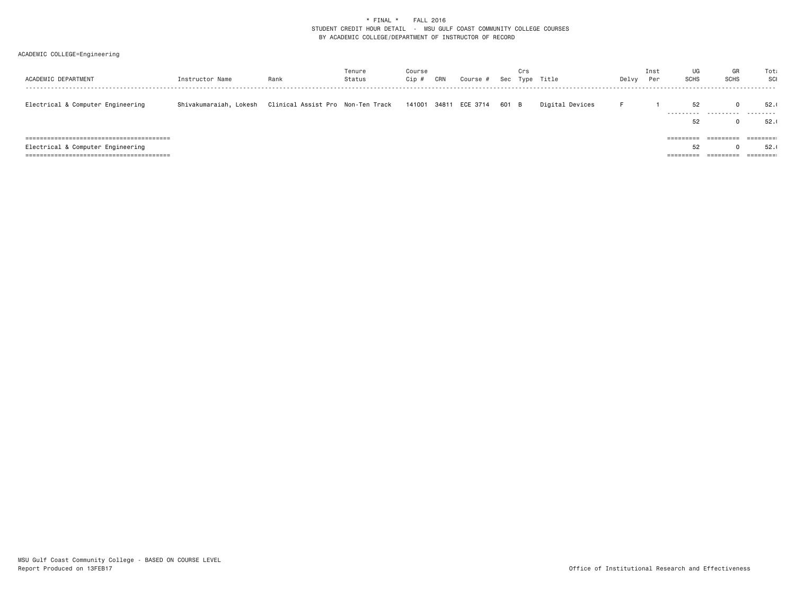# \* FINAL \* FALL 2016 STUDENT CREDIT HOUR DETAIL - MSU GULF COAST COMMUNITY COLLEGE COURSES BY ACADEMIC COLLEGE/DEPARTMENT OF INSTRUCTOR OF RECORD

## ACADEMIC COLLEGE=Engineering

| ACADEMIC DEPARTMENT               | Instructor Name        | Rank                               | Tenure<br>Status | Course<br>Cip ; | CRN | Course #              |       | Crs | Sec Type Title  | Delvy | Inst<br>Per | UG<br>SCHS | GR<br><b>SCHS</b> | Tota<br>SCI                                                        |
|-----------------------------------|------------------------|------------------------------------|------------------|-----------------|-----|-----------------------|-------|-----|-----------------|-------|-------------|------------|-------------------|--------------------------------------------------------------------|
| Electrical & Computer Engineering | Shivakumaraiah, Lokesh | Clinical Assist Pro  Non-Ten Track |                  |                 |     | 141001 34811 ECE 3714 | 601 B |     | Digital Devices |       |             | 52<br>.    | .                 | 52.<br>.                                                           |
|                                   |                        |                                    |                  |                 |     |                       |       |     |                 |       |             | 52         |                   | 52.                                                                |
|                                   |                        |                                    |                  |                 |     |                       |       |     |                 |       |             |            | =========         | $\qquad \qquad \equiv \equiv \equiv \equiv \equiv \equiv \equiv :$ |
| Electrical & Computer Engineering |                        |                                    |                  |                 |     |                       |       |     |                 |       |             | 52         |                   | 52.                                                                |
|                                   |                        |                                    |                  |                 |     |                       |       |     |                 |       |             | ---------  | ---------         | $=$ $=$ $=$ $=$ $=$ $=$ $=$ $:$                                    |